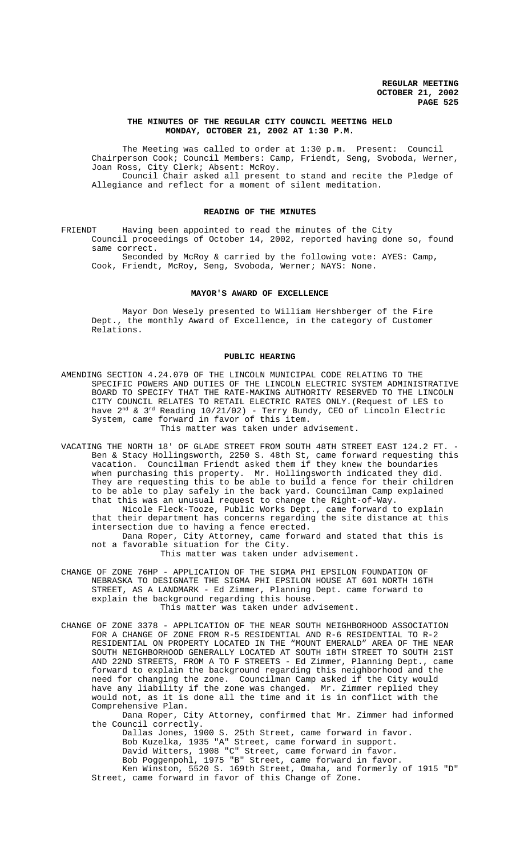# **THE MINUTES OF THE REGULAR CITY COUNCIL MEETING HELD MONDAY, OCTOBER 21, 2002 AT 1:30 P.M.**

The Meeting was called to order at 1:30 p.m. Present: Council Chairperson Cook; Council Members: Camp, Friendt, Seng, Svoboda, Werner, Joan Ross, City Clerk; Absent: McRoy. Council Chair asked all present to stand and recite the Pledge of Allegiance and reflect for a moment of silent meditation.

# **READING OF THE MINUTES**

FRIENDT Having been appointed to read the minutes of the City Council proceedings of October 14, 2002, reported having done so, found same correct.

Seconded by McRoy & carried by the following vote: AYES: Camp, Cook, Friendt, McRoy, Seng, Svoboda, Werner; NAYS: None.

# **MAYOR'S AWARD OF EXCELLENCE**

Mayor Don Wesely presented to William Hershberger of the Fire Dept., the monthly Award of Excellence, in the category of Customer Relations.

## **PUBLIC HEARING**

- AMENDING SECTION 4.24.070 OF THE LINCOLN MUNICIPAL CODE RELATING TO THE SPECIFIC POWERS AND DUTIES OF THE LINCOLN ELECTRIC SYSTEM ADMINISTRATIVE BOARD TO SPECIFY THAT THE RATE-MAKING AUTHORITY RESERVED TO THE LINCOLN CITY COUNCIL RELATES TO RETAIL ELECTRIC RATES ONLY.(Request of LES to have 2 $^{\rm nd}$  & 3 $^{\rm rd}$  Reading 10/21/02) - Terry Bundy, CEO of Lincoln Electric System, came forward in favor of this item. This matter was taken under advisement.
- VACATING THE NORTH 18' OF GLADE STREET FROM SOUTH 48TH STREET EAST 124.2 FT. Ben & Stacy Hollingsworth, 2250 S. 48th St, came forward requesting this vacation. Councilman Friendt asked them if they knew the boundaries when purchasing this property. Mr. Hollingsworth indicated they did. They are requesting this to be able to build a fence for their children to be able to play safely in the back yard. Councilman Camp explained that this was an unusual request to change the Right-of-Way.

Nicole Fleck-Tooze, Public Works Dept., came forward to explain that their department has concerns regarding the site distance at this intersection due to having a fence erected.

Dana Roper, City Attorney, came forward and stated that this is not a favorable situation for the City.

This matter was taken under advisement.

- CHANGE OF ZONE 76HP APPLICATION OF THE SIGMA PHI EPSILON FOUNDATION OF NEBRASKA TO DESIGNATE THE SIGMA PHI EPSILON HOUSE AT 601 NORTH 16TH STREET, AS A LANDMARK - Ed Zimmer, Planning Dept. came forward to explain the background regarding this house. This matter was taken under advisement.
- CHANGE OF ZONE 3378 APPLICATION OF THE NEAR SOUTH NEIGHBORHOOD ASSOCIATION FOR A CHANGE OF ZONE FROM R-5 RESIDENTIAL AND R-6 RESIDENTIAL TO R-2 RESIDENTIAL ON PROPERTY LOCATED IN THE "MOUNT EMERALD" AREA OF THE NEAR SOUTH NEIGHBORHOOD GENERALLY LOCATED AT SOUTH 18TH STREET TO SOUTH 21ST AND 22ND STREETS, FROM A TO F STREETS - Ed Zimmer, Planning Dept., came forward to explain the background regarding this neighborhood and the need for changing the zone. Councilman Camp asked if the City would have any liability if the zone was changed. Mr. Zimmer replied they would not, as it is done all the time and it is in conflict with the Comprehensive Plan.

Dana Roper, City Attorney, confirmed that Mr. Zimmer had informed the Council correctly.

Dallas Jones, 1900 S. 25th Street, came forward in favor. Bob Kuzelka, 1935 "A" Street, came forward in support. David Witters, 1908 "C" Street, came forward in favor. Bob Poggenpohl, 1975 "B" Street, came forward in favor. Ken Winston, 5520 S. 169th Street, Omaha, and formerly of 1915 "D"

Street, came forward in favor of this Change of Zone.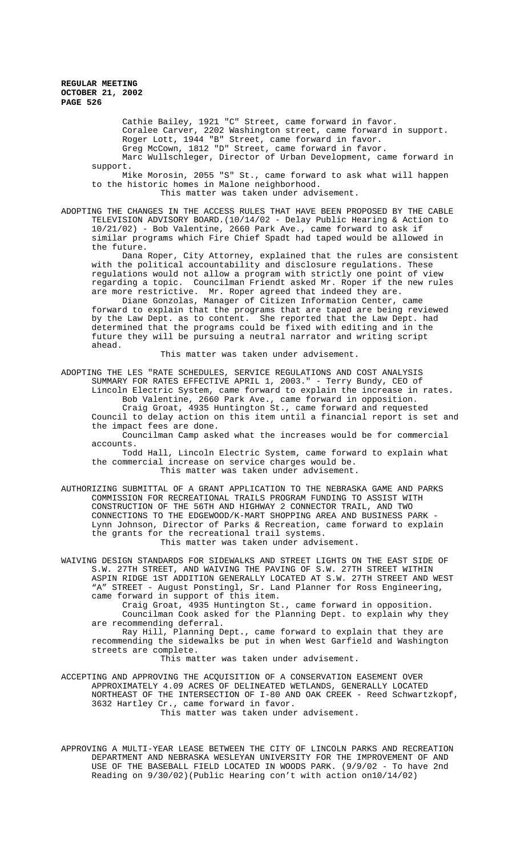Cathie Bailey, 1921 "C" Street, came forward in favor. Coralee Carver, 2202 Washington street, came forward in support. Roger Lott, 1944 "B" Street, came forward in favor. Greg McCown, 1812 "D" Street, came forward in favor. Marc Wullschleger, Director of Urban Development, came forward in

support. Mike Morosin, 2055 "S" St., came forward to ask what will happen to the historic homes in Malone neighborhood.

This matter was taken under advisement.

ADOPTING THE CHANGES IN THE ACCESS RULES THAT HAVE BEEN PROPOSED BY THE CABLE TELEVISION ADVISORY BOARD.(10/14/02 - Delay Public Hearing & Action to 10/21/02) - Bob Valentine, 2660 Park Ave., came forward to ask if similar programs which Fire Chief Spadt had taped would be allowed in the future.

Dana Roper, City Attorney, explained that the rules are consistent with the political accountability and disclosure regulations. These regulations would not allow a program with strictly one point of view regarding a topic. Councilman Friendt asked Mr. Roper if the new rules are more restrictive. Mr. Roper agreed that indeed they are.

Diane Gonzolas, Manager of Citizen Information Center, came forward to explain that the programs that are taped are being reviewed by the Law Dept. as to content. She reported that the Law Dept. had determined that the programs could be fixed with editing and in the future they will be pursuing a neutral narrator and writing script ahead.

This matter was taken under advisement.

ADOPTING THE LES "RATE SCHEDULES, SERVICE REGULATIONS AND COST ANALYSIS SUMMARY FOR RATES EFFECTIVE APRIL 1, 2003." - Terry Bundy, CEO of Lincoln Electric System, came forward to explain the increase in rates.

Bob Valentine, 2660 Park Ave., came forward in opposition. Craig Groat, 4935 Huntington St., came forward and requested

Council to delay action on this item until a financial report is set and the impact fees are done.

Councilman Camp asked what the increases would be for commercial accounts.

Todd Hall, Lincoln Electric System, came forward to explain what the commercial increase on service charges would be. This matter was taken under advisement.

AUTHORIZING SUBMITTAL OF A GRANT APPLICATION TO THE NEBRASKA GAME AND PARKS COMMISSION FOR RECREATIONAL TRAILS PROGRAM FUNDING TO ASSIST WITH CONSTRUCTION OF THE 56TH AND HIGHWAY 2 CONNECTOR TRAIL, AND TWO CONNECTIONS TO THE EDGEWOOD/K-MART SHOPPING AREA AND BUSINESS PARK - Lynn Johnson, Director of Parks & Recreation, came forward to explain the grants for the recreational trail systems. This matter was taken under advisement.

WAIVING DESIGN STANDARDS FOR SIDEWALKS AND STREET LIGHTS ON THE EAST SIDE OF S.W. 27TH STREET, AND WAIVING THE PAVING OF S.W. 27TH STREET WITHIN ASPIN RIDGE 1ST ADDITION GENERALLY LOCATED AT S.W. 27TH STREET AND WEST "A" STREET - August Ponstingl, Sr. Land Planner for Ross Engineering, came forward in support of this item.

Craig Groat, 4935 Huntington St., came forward in opposition. Councilman Cook asked for the Planning Dept. to explain why they are recommending deferral.

Ray Hill, Planning Dept., came forward to explain that they are recommending the sidewalks be put in when West Garfield and Washington streets are complete.

This matter was taken under advisement.

ACCEPTING AND APPROVING THE ACQUISITION OF A CONSERVATION EASEMENT OVER APPROXIMATELY 4.09 ACRES OF DELINEATED WETLANDS, GENERALLY LOCATED NORTHEAST OF THE INTERSECTION OF I-80 AND OAK CREEK - Reed Schwartzkopf, 3632 Hartley Cr., came forward in favor. This matter was taken under advisement.

APPROVING A MULTI-YEAR LEASE BETWEEN THE CITY OF LINCOLN PARKS AND RECREATION DEPARTMENT AND NEBRASKA WESLEYAN UNIVERSITY FOR THE IMPROVEMENT OF AND USE OF THE BASEBALL FIELD LOCATED IN WOODS PARK. (9/9/02 - To have 2nd Reading on 9/30/02)(Public Hearing con't with action on10/14/02)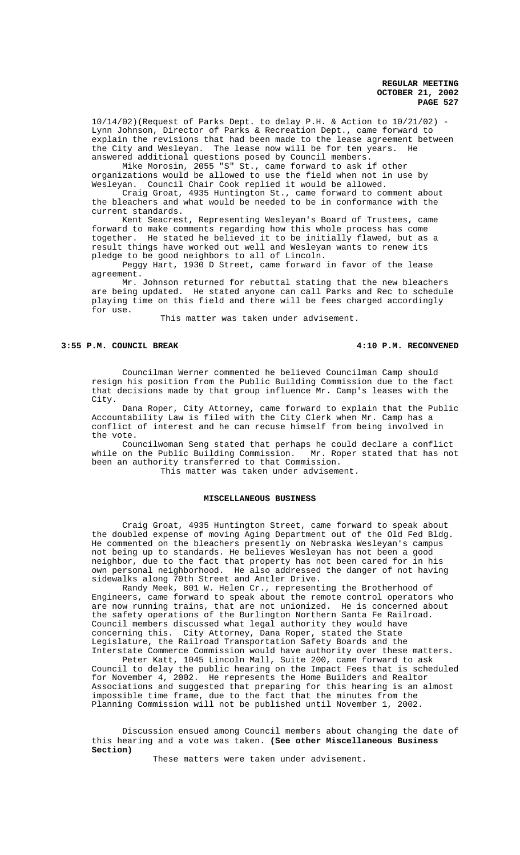10/14/02)(Request of Parks Dept. to delay P.H. & Action to 10/21/02) - Lynn Johnson, Director of Parks & Recreation Dept., came forward to explain the revisions that had been made to the lease agreement between the City and Wesleyan. The lease now will be for ten years. He answered additional questions posed by Council members.

Mike Morosin, 2055 "S" St., came forward to ask if other organizations would be allowed to use the field when not in use by Wesleyan. Council Chair Cook replied it would be allowed.

Craig Groat, 4935 Huntington St., came forward to comment about the bleachers and what would be needed to be in conformance with the current standards.

Kent Seacrest, Representing Wesleyan's Board of Trustees, came forward to make comments regarding how this whole process has come together. He stated he believed it to be initially flawed, but as a result things have worked out well and Wesleyan wants to renew its pledge to be good neighbors to all of Lincoln.

Peggy Hart, 1930 D Street, came forward in favor of the lease agreement.

Mr. Johnson returned for rebuttal stating that the new bleachers are being updated. He stated anyone can call Parks and Rec to schedule playing time on this field and there will be fees charged accordingly for use.

This matter was taken under advisement.

# **3:55 P.M. COUNCIL BREAK 4:10 P.M. RECONVENED**

Councilman Werner commented he believed Councilman Camp should resign his position from the Public Building Commission due to the fact that decisions made by that group influence Mr. Camp's leases with the City.

Dana Roper, City Attorney, came forward to explain that the Public Accountability Law is filed with the City Clerk when Mr. Camp has a conflict of interest and he can recuse himself from being involved in the vote.

Councilwoman Seng stated that perhaps he could declare a conflict while on the Public Building Commission. Mr. Roper stated that has not been an authority transferred to that Commission. This matter was taken under advisement.

# **MISCELLANEOUS BUSINESS**

Craig Groat, 4935 Huntington Street, came forward to speak about the doubled expense of moving Aging Department out of the Old Fed Bldg. He commented on the bleachers presently on Nebraska Wesleyan's campus not being up to standards. He believes Wesleyan has not been a good neighbor, due to the fact that property has not been cared for in his own personal neighborhood. He also addressed the danger of not having sidewalks along 70th Street and Antler Drive.

Randy Meek, 801 W. Helen Cr., representing the Brotherhood of Engineers, came forward to speak about the remote control operators who are now running trains, that are not unionized. He is concerned about the safety operations of the Burlington Northern Santa Fe Railroad. Council members discussed what legal authority they would have concerning this. City Attorney, Dana Roper, stated the State Legislature, the Railroad Transportation Safety Boards and the Interstate Commerce Commission would have authority over these matters.

Peter Katt, 1045 Lincoln Mall, Suite 200, came forward to ask Council to delay the public hearing on the Impact Fees that is scheduled for November 4, 2002. He represents the Home Builders and Realtor Associations and suggested that preparing for this hearing is an almost impossible time frame, due to the fact that the minutes from the Planning Commission will not be published until November 1, 2002.

Discussion ensued among Council members about changing the date of this hearing and a vote was taken. **(See other Miscellaneous Business Section)**

These matters were taken under advisement.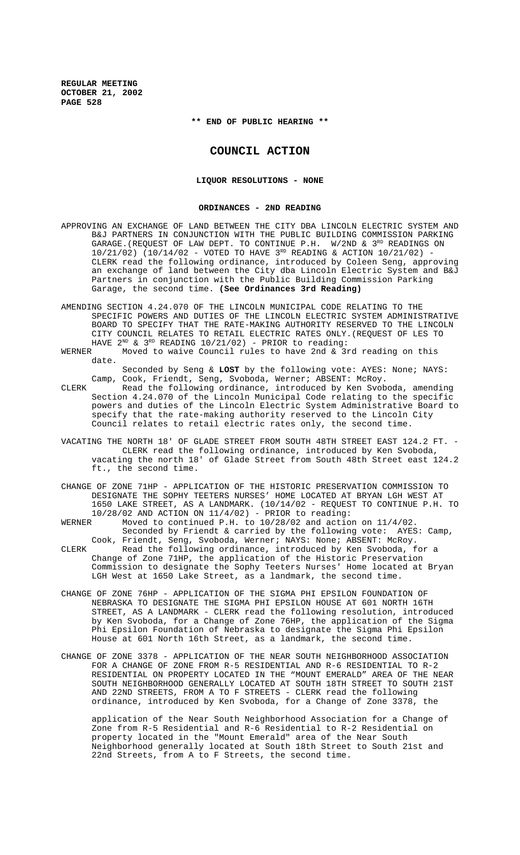**\*\* END OF PUBLIC HEARING \*\***

# **COUNCIL ACTION**

# **LIQUOR RESOLUTIONS - NONE**

#### **ORDINANCES - 2ND READING**

- APPROVING AN EXCHANGE OF LAND BETWEEN THE CITY DBA LINCOLN ELECTRIC SYSTEM AND B&J PARTNERS IN CONJUNCTION WITH THE PUBLIC BUILDING COMMISSION PARKING GARAGE.(REQUEST OF LAW DEPT. TO CONTINUE P.H. W/2ND & 3RD READINGS ON 10/21/02) (10/14/02 - VOTED TO HAVE 3<sup>RD</sup> READING & ACTION 10/21/02) -CLERK read the following ordinance, introduced by Coleen Seng, approving an exchange of land between the City dba Lincoln Electric System and B&J Partners in conjunction with the Public Building Commission Parking Garage, the second time. **(See Ordinances 3rd Reading)**
- AMENDING SECTION 4.24.070 OF THE LINCOLN MUNICIPAL CODE RELATING TO THE SPECIFIC POWERS AND DUTIES OF THE LINCOLN ELECTRIC SYSTEM ADMINISTRATIVE BOARD TO SPECIFY THAT THE RATE-MAKING AUTHORITY RESERVED TO THE LINCOLN CITY COUNCIL RELATES TO RETAIL ELECTRIC RATES ONLY.(REQUEST OF LES TO HAVE  $2^{ND}$  &  $3^{RD}$  READING  $10/21/02$ ) - PRIOR to reading:<br>WERNER Moved to waive Council rules to have 2nd & 3x
- Moved to waive Council rules to have 2nd & 3rd reading on this date.

Seconded by Seng & **LOST** by the following vote: AYES: None; NAYS: Camp, Cook, Friendt, Seng, Svoboda, Werner; ABSENT: McRoy.

- CLERK Read the following ordinance, introduced by Ken Svoboda, amending Section 4.24.070 of the Lincoln Municipal Code relating to the specific powers and duties of the Lincoln Electric System Administrative Board to specify that the rate-making authority reserved to the Lincoln City Council relates to retail electric rates only, the second time.
- VACATING THE NORTH 18' OF GLADE STREET FROM SOUTH 48TH STREET EAST 124.2 FT. CLERK read the following ordinance, introduced by Ken Svoboda, vacating the north 18' of Glade Street from South 48th Street east 124.2 ft., the second time.
- CHANGE OF ZONE 71HP APPLICATION OF THE HISTORIC PRESERVATION COMMISSION TO DESIGNATE THE SOPHY TEETERS NURSES' HOME LOCATED AT BRYAN LGH WEST AT 1650 LAKE STREET, AS A LANDMARK. (10/14/02 - REQUEST TO CONTINUE P.H. TO 10/28/02 AND ACTION ON  $11/4/02$ ) - PRIOR to reading:<br>WERNER Moved to continued P H to  $10/28/02$  and action
- Moved to continued P.H. to  $10/28/02$  and action on  $11/4/02$ . Seconded by Friendt & carried by the following vote: AYES: Camp, Cook, Friendt, Seng, Svoboda, Werner; NAYS: None; ABSENT: McRoy.
- CLERK Read the following ordinance, introduced by Ken Svoboda, for a Change of Zone 71HP, the application of the Historic Preservation Commission to designate the Sophy Teeters Nurses' Home located at Bryan LGH West at 1650 Lake Street, as a landmark, the second time.
- CHANGE OF ZONE 76HP APPLICATION OF THE SIGMA PHI EPSILON FOUNDATION OF NEBRASKA TO DESIGNATE THE SIGMA PHI EPSILON HOUSE AT 601 NORTH 16TH STREET, AS A LANDMARK - CLERK read the following resolution, introduced by Ken Svoboda, for a Change of Zone 76HP, the application of the Sigma Phi Epsilon Foundation of Nebraska to designate the Sigma Phi Epsilon House at 601 North 16th Street, as a landmark, the second time.
- CHANGE OF ZONE 3378 APPLICATION OF THE NEAR SOUTH NEIGHBORHOOD ASSOCIATION FOR A CHANGE OF ZONE FROM R-5 RESIDENTIAL AND R-6 RESIDENTIAL TO R-2 RESIDENTIAL ON PROPERTY LOCATED IN THE "MOUNT EMERALD" AREA OF THE NEAR SOUTH NEIGHBORHOOD GENERALLY LOCATED AT SOUTH 18TH STREET TO SOUTH 21ST AND 22ND STREETS, FROM A TO F STREETS - CLERK read the following ordinance, introduced by Ken Svoboda, for a Change of Zone 3378, the

application of the Near South Neighborhood Association for a Change of Zone from R-5 Residential and R-6 Residential to R-2 Residential on property located in the "Mount Emerald" area of the Near South Neighborhood generally located at South 18th Street to South 21st and 22nd Streets, from A to F Streets, the second time.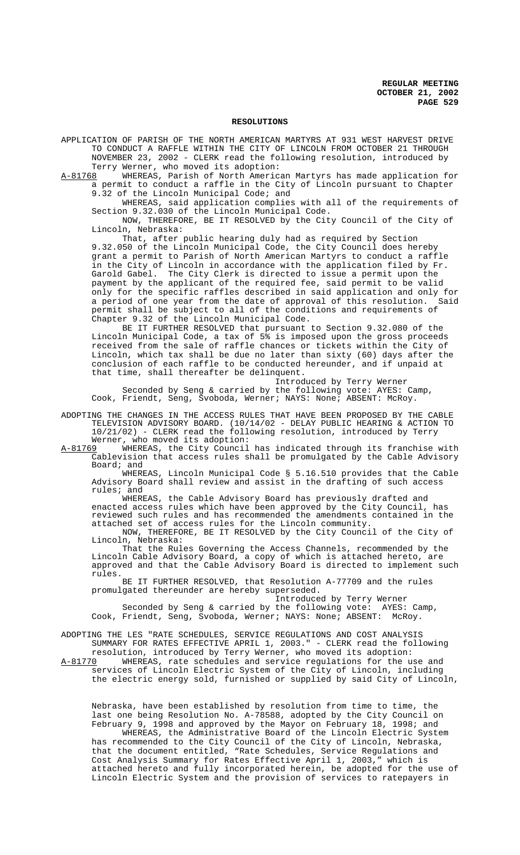#### **RESOLUTIONS**

APPLICATION OF PARISH OF THE NORTH AMERICAN MARTYRS AT 931 WEST HARVEST DRIVE TO CONDUCT A RAFFLE WITHIN THE CITY OF LINCOLN FROM OCTOBER 21 THROUGH NOVEMBER 23, 2002 - CLERK read the following resolution, introduced by Terry Werner, who moved its adoption:

A-81768 WHEREAS, Parish of North American Martyrs has made application for a permit to conduct a raffle in the City of Lincoln pursuant to Chapter 9.32 of the Lincoln Municipal Code; and

WHEREAS, said application complies with all of the requirements of Section 9.32.030 of the Lincoln Municipal Code.

NOW, THEREFORE, BE IT RESOLVED by the City Council of the City of Lincoln, Nebraska:

That, after public hearing duly had as required by Section 9.32.050 of the Lincoln Municipal Code, the City Council does hereby grant a permit to Parish of North American Martyrs to conduct a raffle in the City of Lincoln in accordance with the application filed by Fr. Garold Gabel. The City Clerk is directed to issue a permit upon the payment by the applicant of the required fee, said permit to be valid only for the specific raffles described in said application and only for<br>a period of one year from the date of approval of this resolution. Said a period of one year from the date of approval of this resolution. permit shall be subject to all of the conditions and requirements of Chapter 9.32 of the Lincoln Municipal Code.

BE IT FURTHER RESOLVED that pursuant to Section 9.32.080 of the Lincoln Municipal Code, a tax of 5% is imposed upon the gross proceeds received from the sale of raffle chances or tickets within the City of Lincoln, which tax shall be due no later than sixty (60) days after the conclusion of each raffle to be conducted hereunder, and if unpaid at that time, shall thereafter be delinquent.

Introduced by Terry Werner Seconded by Seng & carried by the following vote: AYES: Camp, Cook, Friendt, Seng, Svoboda, Werner; NAYS: None; ABSENT: McRoy.

- ADOPTING THE CHANGES IN THE ACCESS RULES THAT HAVE BEEN PROPOSED BY THE CABLE TELEVISION ADVISORY BOARD. (10/14/02 - DELAY PUBLIC HEARING & ACTION TO 10/21/02) - CLERK read the following resolution, introduced by Terry Werner, who moved its adoption:<br>A-81769 WHEREAS, the City Council
- A-81769 WHEREAS, the City Council has indicated through its franchise with Cablevision that access rules shall be promulgated by the Cable Advisory Board; and

WHEREAS, Lincoln Municipal Code § 5.16.510 provides that the Cable Advisory Board shall review and assist in the drafting of such access rules; and

WHEREAS, the Cable Advisory Board has previously drafted and enacted access rules which have been approved by the City Council, reviewed such rules and has recommended the amendments contained in the attached set of access rules for the Lincoln community. NOW, THEREFORE, BE IT RESOLVED by the City Council of the City of

Lincoln, Nebraska:

That the Rules Governing the Access Channels, recommended by the Lincoln Cable Advisory Board, a copy of which is attached hereto, are approved and that the Cable Advisory Board is directed to implement such rules.

BE IT FURTHER RESOLVED, that Resolution A-77709 and the rules promulgated thereunder are hereby superseded.

Introduced by Terry Werner Seconded by Seng & carried by the following vote: AYES: Camp, Cook, Friendt, Seng, Svoboda, Werner; NAYS: None; ABSENT: McRoy.

ADOPTING THE LES "RATE SCHEDULES, SERVICE REGULATIONS AND COST ANALYSIS SUMMARY FOR RATES EFFECTIVE APRIL 1, 2003." - CLERK read the following resolution, introduced by Terry Werner, who moved its adoption:<br>A-81770 WHEREAS, rate schedules and service regulations for the u

WHEREAS, rate schedules and service regulations for the use and services of Lincoln Electric System of the City of Lincoln, including the electric energy sold, furnished or supplied by said City of Lincoln,

Nebraska, have been established by resolution from time to time, the last one being Resolution No. A-78588, adopted by the City Council on February 9, 1998 and approved by the Mayor on February 18, 1998; and

WHEREAS, the Administrative Board of the Lincoln Electric System has recommended to the City Council of the City of Lincoln, Nebraska, that the document entitled, "Rate Schedules, Service Regulations and Cost Analysis Summary for Rates Effective April 1, 2003," which is attached hereto and fully incorporated herein, be adopted for the use of Lincoln Electric System and the provision of services to ratepayers in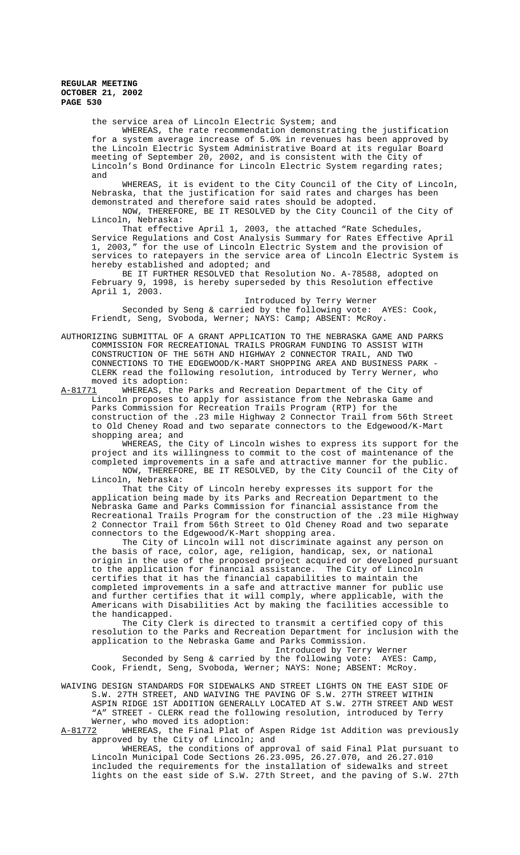the service area of Lincoln Electric System; and

WHEREAS, the rate recommendation demonstrating the justification for a system average increase of 5.0% in revenues has been approved by the Lincoln Electric System Administrative Board at its regular Board meeting of September 20, 2002, and is consistent with the City of Lincoln's Bond Ordinance for Lincoln Electric System regarding rates; and

WHEREAS, it is evident to the City Council of the City of Lincoln, Nebraska, that the justification for said rates and charges has been demonstrated and therefore said rates should be adopted.

NOW, THEREFORE, BE IT RESOLVED by the City Council of the City of Lincoln, Nebraska:

That effective April 1, 2003, the attached "Rate Schedules, Service Regulations and Cost Analysis Summary for Rates Effective April 1, 2003," for the use of Lincoln Electric System and the provision of services to ratepayers in the service area of Lincoln Electric System is hereby established and adopted; and

BE IT FURTHER RESOLVED that Resolution No. A-78588, adopted on February 9, 1998, is hereby superseded by this Resolution effective April 1, 2003.

Introduced by Terry Werner Seconded by Seng & carried by the following vote: AYES: Cook, Friendt, Seng, Svoboda, Werner; NAYS: Camp; ABSENT: McRoy.

AUTHORIZING SUBMITTAL OF A GRANT APPLICATION TO THE NEBRASKA GAME AND PARKS COMMISSION FOR RECREATIONAL TRAILS PROGRAM FUNDING TO ASSIST WITH CONSTRUCTION OF THE 56TH AND HIGHWAY 2 CONNECTOR TRAIL, AND TWO CONNECTIONS TO THE EDGEWOOD/K-MART SHOPPING AREA AND BUSINESS PARK - CLERK read the following resolution, introduced by Terry Werner, who moved its adoption:

A-81771 WHEREAS, the Parks and Recreation Department of the City of Lincoln proposes to apply for assistance from the Nebraska Game and Parks Commission for Recreation Trails Program (RTP) for the construction of the .23 mile Highway 2 Connector Trail from 56th Street to Old Cheney Road and two separate connectors to the Edgewood/K-Mart shopping area; and

WHEREAS, the City of Lincoln wishes to express its support for the project and its willingness to commit to the cost of maintenance of the completed improvements in a safe and attractive manner for the public. NOW, THEREFORE, BE IT RESOLVED, by the City Council of the City of

Lincoln, Nebraska:

That the City of Lincoln hereby expresses its support for the application being made by its Parks and Recreation Department to the Nebraska Game and Parks Commission for financial assistance from the Recreational Trails Program for the construction of the .23 mile Highway 2 Connector Trail from 56th Street to Old Cheney Road and two separate connectors to the Edgewood/K-Mart shopping area.

The City of Lincoln will not discriminate against any person on the basis of race, color, age, religion, handicap, sex, or national origin in the use of the proposed project acquired or developed pursuant<br>to the application for financial assistance. The City of Lincoln to the application for financial assistance. certifies that it has the financial capabilities to maintain the completed improvements in a safe and attractive manner for public use and further certifies that it will comply, where applicable, with the Americans with Disabilities Act by making the facilities accessible to the handicapped.

The City Clerk is directed to transmit a certified copy of this resolution to the Parks and Recreation Department for inclusion with the application to the Nebraska Game and Parks Commission.

Introduced by Terry Werner

Seconded by Seng & carried by the following vote: AYES: Camp, Cook, Friendt, Seng, Svoboda, Werner; NAYS: None; ABSENT: McRoy.

WAIVING DESIGN STANDARDS FOR SIDEWALKS AND STREET LIGHTS ON THE EAST SIDE OF S.W. 27TH STREET, AND WAIVING THE PAVING OF S.W. 27TH STREET WITHIN ASPIN RIDGE 1ST ADDITION GENERALLY LOCATED AT S.W. 27TH STREET AND WEST "A" STREET - CLERK read the following resolution, introduced by Terry Werner, who moved its adoption:

A-81772 WHEREAS, the Final Plat of Aspen Ridge 1st Addition was previously approved by the City of Lincoln; and

WHEREAS, the conditions of approval of said Final Plat pursuant to Lincoln Municipal Code Sections 26.23.095, 26.27.070, and 26.27.010 included the requirements for the installation of sidewalks and street lights on the east side of S.W. 27th Street, and the paving of S.W. 27th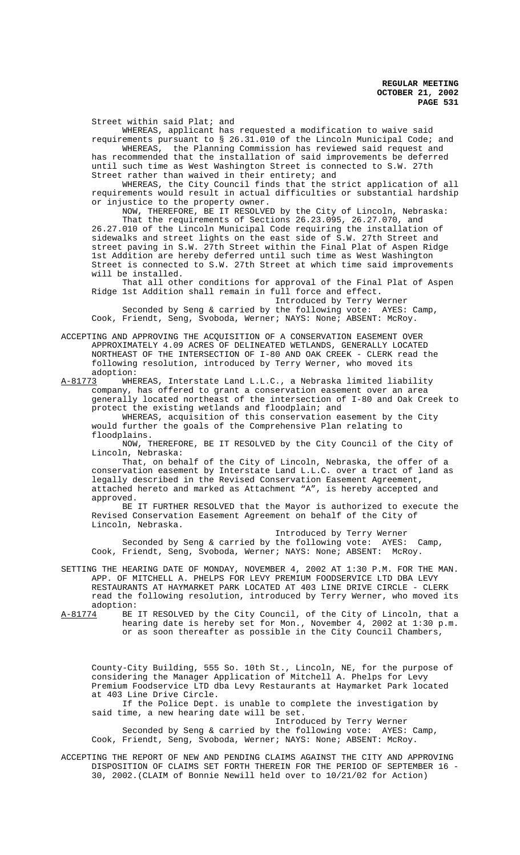Street within said Plat; and

WHEREAS, applicant has requested a modification to waive said

requirements pursuant to § 26.31.010 of the Lincoln Municipal Code; and WHEREAS, the Planning Commission has reviewed said request and has recommended that the installation of said improvements be deferred until such time as West Washington Street is connected to S.W. 27th Street rather than waived in their entirety; and

WHEREAS, the City Council finds that the strict application of all requirements would result in actual difficulties or substantial hardship or injustice to the property owner.

NOW, THEREFORE, BE IT RESOLVED by the City of Lincoln, Nebraska: That the requirements of Sections 26.23.095, 26.27.070, and 26.27.010 of the Lincoln Municipal Code requiring the installation of sidewalks and street lights on the east side of S.W. 27th Street and street paving in S.W. 27th Street within the Final Plat of Aspen Ridge 1st Addition are hereby deferred until such time as West Washington Street is connected to S.W. 27th Street at which time said improvements will be installed.

That all other conditions for approval of the Final Plat of Aspen Ridge 1st Addition shall remain in full force and effect. Introduced by Terry Werner

Seconded by Seng & carried by the following vote: AYES: Camp, Cook, Friendt, Seng, Svoboda, Werner; NAYS: None; ABSENT: McRoy.

ACCEPTING AND APPROVING THE ACQUISITION OF A CONSERVATION EASEMENT OVER APPROXIMATELY 4.09 ACRES OF DELINEATED WETLANDS, GENERALLY LOCATED NORTHEAST OF THE INTERSECTION OF I-80 AND OAK CREEK - CLERK read the following resolution, introduced by Terry Werner, who moved its adoption:

A-81773 WHEREAS, Interstate Land L.L.C., a Nebraska limited liability company, has offered to grant a conservation easement over an area generally located northeast of the intersection of I-80 and Oak Creek to protect the existing wetlands and floodplain; and

WHEREAS, acquisition of this conservation easement by the City would further the goals of the Comprehensive Plan relating to floodplains.

NOW, THEREFORE, BE IT RESOLVED by the City Council of the City of Lincoln, Nebraska:

That, on behalf of the City of Lincoln, Nebraska, the offer of a conservation easement by Interstate Land L.L.C. over a tract of land as legally described in the Revised Conservation Easement Agreement, attached hereto and marked as Attachment "A", is hereby accepted and approved.

BE IT FURTHER RESOLVED that the Mayor is authorized to execute the Revised Conservation Easement Agreement on behalf of the City of Lincoln, Nebraska.

Introduced by Terry Werner Seconded by Seng & carried by the following vote: AYES: Camp, Cook, Friendt, Seng, Svoboda, Werner; NAYS: None; ABSENT: McRoy.

SETTING THE HEARING DATE OF MONDAY, NOVEMBER 4, 2002 AT 1:30 P.M. FOR THE MAN. APP. OF MITCHELL A. PHELPS FOR LEVY PREMIUM FOODSERVICE LTD DBA LEVY RESTAURANTS AT HAYMARKET PARK LOCATED AT 403 LINE DRIVE CIRCLE - CLERK read the following resolution, introduced by Terry Werner, who moved its adoption:

A-81774 BE IT RESOLVED by the City Council, of the City of Lincoln, that a hearing date is hereby set for Mon., November 4, 2002 at 1:30 p.m. or as soon thereafter as possible in the City Council Chambers,

County-City Building, 555 So. 10th St., Lincoln, NE, for the purpose of considering the Manager Application of Mitchell A. Phelps for Levy Premium Foodservice LTD dba Levy Restaurants at Haymarket Park located at 403 Line Drive Circle.

If the Police Dept. is unable to complete the investigation by said time, a new hearing date will be set.

Introduced by Terry Werner

Seconded by Seng & carried by the following vote: AYES: Camp, Cook, Friendt, Seng, Svoboda, Werner; NAYS: None; ABSENT: McRoy.

ACCEPTING THE REPORT OF NEW AND PENDING CLAIMS AGAINST THE CITY AND APPROVING DISPOSITION OF CLAIMS SET FORTH THEREIN FOR THE PERIOD OF SEPTEMBER 16 - 30, 2002.(CLAIM of Bonnie Newill held over to 10/21/02 for Action)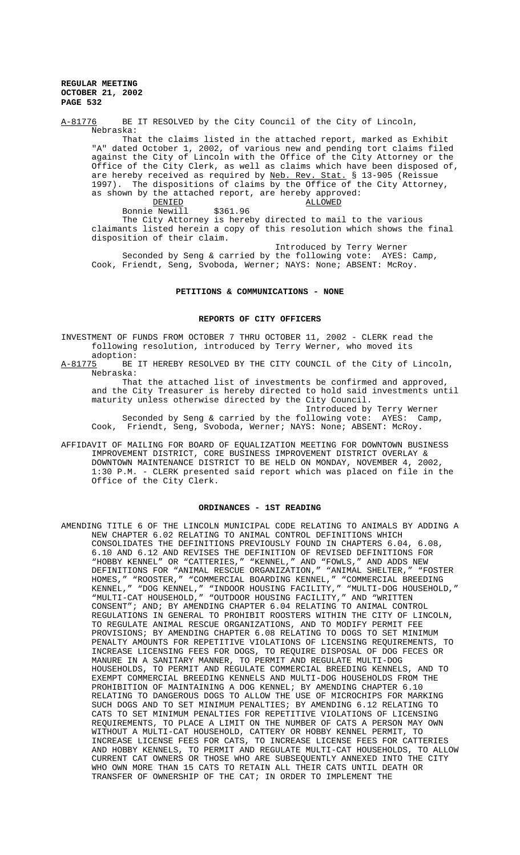A-81776 BE IT RESOLVED by the City Council of the City of Lincoln, Nebraska:

That the claims listed in the attached report, marked as Exhibit "A" dated October 1, 2002, of various new and pending tort claims filed against the City of Lincoln with the Office of the City Attorney or the Office of the City Clerk, as well as claims which have been disposed of, are hereby received as required by Neb. Rev. Stat. § 13-905 (Reissue 1997). The dispositions of claims by the Office of the City Attorney, as shown by the attached report, are hereby approved:<br>DENIED ALLOWED

 $\underbrace{\texttt{ALLOWED}}$ \$361.96 Bonnie Newill The City Attorney is hereby directed to mail to the various claimants listed herein a copy of this resolution which shows the final disposition of their claim.

Introduced by Terry Werner Seconded by Seng & carried by the following vote: AYES: Camp, Cook, Friendt, Seng, Svoboda, Werner; NAYS: None; ABSENT: McRoy.

## **PETITIONS & COMMUNICATIONS - NONE**

#### **REPORTS OF CITY OFFICERS**

INVESTMENT OF FUNDS FROM OCTOBER 7 THRU OCTOBER 11, 2002 - CLERK read the following resolution, introduced by Terry Werner, who moved its adoption:

A-81775 BE IT HEREBY RESOLVED BY THE CITY COUNCIL of the City of Lincoln, Nebraska:

That the attached list of investments be confirmed and approved, and the City Treasurer is hereby directed to hold said investments until maturity unless otherwise directed by the City Council.

Introduced by Terry Werner Seconded by Seng & carried by the following vote: AYES: Camp, Cook, Friendt, Seng, Svoboda, Werner; NAYS: None; ABSENT: McRoy.

AFFIDAVIT OF MAILING FOR BOARD OF EQUALIZATION MEETING FOR DOWNTOWN BUSINESS IMPROVEMENT DISTRICT, CORE BUSINESS IMPROVEMENT DISTRICT OVERLAY & DOWNTOWN MAINTENANCE DISTRICT TO BE HELD ON MONDAY, NOVEMBER 4, 2002, 1:30 P.M. - CLERK presented said report which was placed on file in the Office of the City Clerk.

# **ORDINANCES - 1ST READING**

AMENDING TITLE 6 OF THE LINCOLN MUNICIPAL CODE RELATING TO ANIMALS BY ADDING A NEW CHAPTER 6.02 RELATING TO ANIMAL CONTROL DEFINITIONS WHICH CONSOLIDATES THE DEFINITIONS PREVIOUSLY FOUND IN CHAPTERS 6.04, 6.08, 6.10 AND 6.12 AND REVISES THE DEFINITION OF REVISED DEFINITIONS FOR "HOBBY KENNEL" OR "CATTERIES," "KENNEL," AND "FOWLS," AND ADDS NEW DEFINITIONS FOR "ANIMAL RESCUE ORGANIZATION," "ANIMAL SHELTER," "FOSTER HOMES," "ROOSTER," "COMMERCIAL BOARDING KENNEL," "COMMERCIAL BREEDING KENNEL," "DOG KENNEL," "INDOOR HOUSING FACILITY," "MULTI-DOG HOUSEHOLD," "MULTI-CAT HOUSEHOLD," "OUTDOOR HOUSING FACILITY," AND "WRITTEN CONSENT"; AND; BY AMENDING CHAPTER 6.04 RELATING TO ANIMAL CONTROL REGULATIONS IN GENERAL TO PROHIBIT ROOSTERS WITHIN THE CITY OF LINCOLN, TO REGULATE ANIMAL RESCUE ORGANIZATIONS, AND TO MODIFY PERMIT FEE PROVISIONS; BY AMENDING CHAPTER 6.08 RELATING TO DOGS TO SET MINIMUM PENALTY AMOUNTS FOR REPETITIVE VIOLATIONS OF LICENSING REQUIREMENTS, TO INCREASE LICENSING FEES FOR DOGS, TO REQUIRE DISPOSAL OF DOG FECES OR MANURE IN A SANITARY MANNER, TO PERMIT AND REGULATE MULTI-DOG HOUSEHOLDS, TO PERMIT AND REGULATE COMMERCIAL BREEDING KENNELS, AND TO EXEMPT COMMERCIAL BREEDING KENNELS AND MULTI-DOG HOUSEHOLDS FROM THE PROHIBITION OF MAINTAINING A DOG KENNEL; BY AMENDING CHAPTER 6.10 RELATING TO DANGEROUS DOGS TO ALLOW THE USE OF MICROCHIPS FOR MARKING SUCH DOGS AND TO SET MINIMUM PENALTIES; BY AMENDING 6.12 RELATING TO CATS TO SET MINIMUM PENALTIES FOR REPETITIVE VIOLATIONS OF LICENSING REQUIREMENTS, TO PLACE A LIMIT ON THE NUMBER OF CATS A PERSON MAY OWN WITHOUT A MULTI-CAT HOUSEHOLD, CATTERY OR HOBBY KENNEL PERMIT, TO INCREASE LICENSE FEES FOR CATS, TO INCREASE LICENSE FEES FOR CATTERIES AND HOBBY KENNELS, TO PERMIT AND REGULATE MULTI-CAT HOUSEHOLDS, TO ALLOW CURRENT CAT OWNERS OR THOSE WHO ARE SUBSEQUENTLY ANNEXED INTO THE CITY WHO OWN MORE THAN 15 CATS TO RETAIN ALL THEIR CATS UNTIL DEATH OR TRANSFER OF OWNERSHIP OF THE CAT; IN ORDER TO IMPLEMENT THE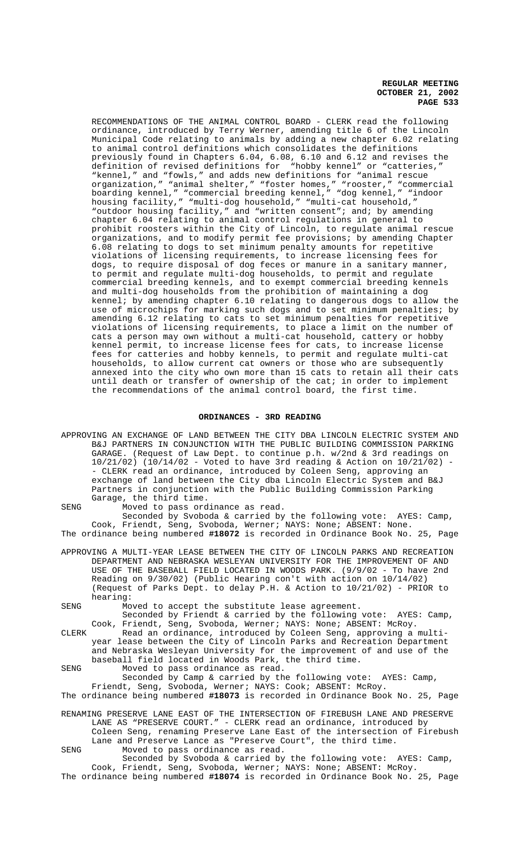RECOMMENDATIONS OF THE ANIMAL CONTROL BOARD - CLERK read the following ordinance, introduced by Terry Werner, amending title 6 of the Lincoln Municipal Code relating to animals by adding a new chapter 6.02 relating to animal control definitions which consolidates the definitions previously found in Chapters 6.04, 6.08, 6.10 and 6.12 and revises the definition of revised definitions for "hobby kennel" or "catteries," "kennel," and "fowls," and adds new definitions for "animal rescue organization," "animal shelter," "foster homes," "rooster," "commercial boarding kennel," "commercial breeding kennel," "dog kennel," "indoor housing facility," "multi-dog household," "multi-cat household," "outdoor housing facility," and "written consent"; and; by amending chapter 6.04 relating to animal control regulations in general to prohibit roosters within the City of Lincoln, to regulate animal rescue organizations, and to modify permit fee provisions; by amending Chapter 6.08 relating to dogs to set minimum penalty amounts for repetitive violations of licensing requirements, to increase licensing fees for dogs, to require disposal of dog feces or manure in a sanitary manner, to permit and regulate multi-dog households, to permit and regulate commercial breeding kennels, and to exempt commercial breeding kennels and multi-dog households from the prohibition of maintaining a dog kennel; by amending chapter 6.10 relating to dangerous dogs to allow the use of microchips for marking such dogs and to set minimum penalties; by amending 6.12 relating to cats to set minimum penalties for repetitive violations of licensing requirements, to place a limit on the number of cats a person may own without a multi-cat household, cattery or hobby kennel permit, to increase license fees for cats, to increase license fees for catteries and hobby kennels, to permit and regulate multi-cat households, to allow current cat owners or those who are subsequently annexed into the city who own more than 15 cats to retain all their cats until death or transfer of ownership of the cat; in order to implement the recommendations of the animal control board, the first time.

#### **ORDINANCES - 3RD READING**

APPROVING AN EXCHANGE OF LAND BETWEEN THE CITY DBA LINCOLN ELECTRIC SYSTEM AND B&J PARTNERS IN CONJUNCTION WITH THE PUBLIC BUILDING COMMISSION PARKING GARAGE. (Request of Law Dept. to continue p.h. w/2nd & 3rd readings on 10/21/02) (10/14/02 - Voted to have 3rd reading & Action on 10/21/02) - - CLERK read an ordinance, introduced by Coleen Seng, approving an exchange of land between the City dba Lincoln Electric System and B&J Partners in conjunction with the Public Building Commission Parking Garage, the third time.

SENG Moved to pass ordinance as read. Seconded by Svoboda & carried by the following vote: AYES: Camp, Cook, Friendt, Seng, Svoboda, Werner; NAYS: None; ABSENT: None. The ordinance being numbered **#18072** is recorded in Ordinance Book No. 25, Page

- APPROVING A MULTI-YEAR LEASE BETWEEN THE CITY OF LINCOLN PARKS AND RECREATION DEPARTMENT AND NEBRASKA WESLEYAN UNIVERSITY FOR THE IMPROVEMENT OF AND USE OF THE BASEBALL FIELD LOCATED IN WOODS PARK. (9/9/02 - To have 2nd Reading on 9/30/02) (Public Hearing con't with action on 10/14/02) (Request of Parks Dept. to delay P.H. & Action to 10/21/02) - PRIOR to hearing:
- SENG Moved to accept the substitute lease agreement.

Seconded by Friendt & carried by the following vote: AYES: Camp, Cook, Friendt, Seng, Svoboda, Werner; NAYS: None; ABSENT: McRoy.

- CLERK Read an ordinance, introduced by Coleen Seng, approving a multiyear lease between the City of Lincoln Parks and Recreation Department and Nebraska Wesleyan University for the improvement of and use of the baseball field located in Woods Park, the third time.
- SENG Moved to pass ordinance as read.

Seconded by Camp & carried by the following vote: AYES: Camp, Friendt, Seng, Svoboda, Werner; NAYS: Cook; ABSENT: McRoy. The ordinance being numbered **#18073** is recorded in Ordinance Book No. 25, Page

- RENAMING PRESERVE LANE EAST OF THE INTERSECTION OF FIREBUSH LANE AND PRESERVE LANE AS "PRESERVE COURT." - CLERK read an ordinance, introduced by
	- Coleen Seng, renaming Preserve Lane East of the intersection of Firebush Lane and Preserve Lance as "Preserve Court", the third time.

SENG Moved to pass ordinance as read. Seconded by Svoboda & carried by the following vote: AYES: Camp,

Cook, Friendt, Seng, Svoboda, Werner; NAYS: None; ABSENT: McRoy. The ordinance being numbered **#18074** is recorded in Ordinance Book No. 25, Page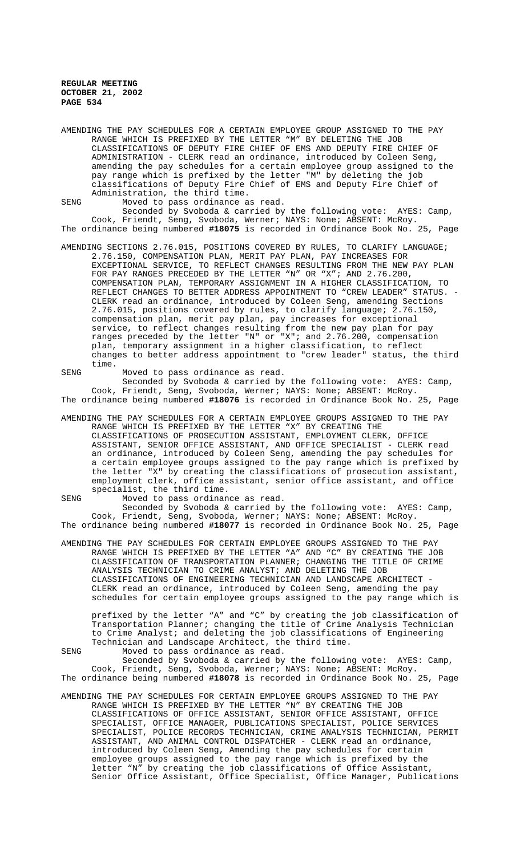AMENDING THE PAY SCHEDULES FOR A CERTAIN EMPLOYEE GROUP ASSIGNED TO THE PAY RANGE WHICH IS PREFIXED BY THE LETTER "M" BY DELETING THE JOB CLASSIFICATIONS OF DEPUTY FIRE CHIEF OF EMS AND DEPUTY FIRE CHIEF OF ADMINISTRATION - CLERK read an ordinance, introduced by Coleen Seng, amending the pay schedules for a certain employee group assigned to the pay range which is prefixed by the letter "M" by deleting the job classifications of Deputy Fire Chief of EMS and Deputy Fire Chief of Administration, the third time.

SENG Moved to pass ordinance as read.

Seconded by Svoboda & carried by the following vote: AYES: Camp, Cook, Friendt, Seng, Svoboda, Werner; NAYS: None; ABSENT: McRoy. The ordinance being numbered **#18075** is recorded in Ordinance Book No. 25, Page

AMENDING SECTIONS 2.76.015, POSITIONS COVERED BY RULES, TO CLARIFY LANGUAGE; 2.76.150, COMPENSATION PLAN, MERIT PAY PLAN, PAY INCREASES FOR EXCEPTIONAL SERVICE, TO REFLECT CHANGES RESULTING FROM THE NEW PAY PLAN FOR PAY RANGES PRECEDED BY THE LETTER "N" OR "X"; AND 2.76.200, COMPENSATION PLAN, TEMPORARY ASSIGNMENT IN A HIGHER CLASSIFICATION, TO REFLECT CHANGES TO BETTER ADDRESS APPOINTMENT TO "CREW LEADER" STATUS. -CLERK read an ordinance, introduced by Coleen Seng, amending Sections 2.76.015, positions covered by rules, to clarify language; 2.76.150, compensation plan, merit pay plan, pay increases for exceptional service, to reflect changes resulting from the new pay plan for pay ranges preceded by the letter "N" or "X"; and 2.76.200, compensation plan, temporary assignment in a higher classification, to reflect changes to better address appointment to "crew leader" status, the third time.

SENG Moved to pass ordinance as read. Seconded by Svoboda & carried by the following vote: AYES: Camp, Cook, Friendt, Seng, Svoboda, Werner; NAYS: None; ABSENT: McRoy.

The ordinance being numbered **#18076** is recorded in Ordinance Book No. 25, Page

AMENDING THE PAY SCHEDULES FOR A CERTAIN EMPLOYEE GROUPS ASSIGNED TO THE PAY RANGE WHICH IS PREFIXED BY THE LETTER "X" BY CREATING THE CLASSIFICATIONS OF PROSECUTION ASSISTANT, EMPLOYMENT CLERK, OFFICE ASSISTANT, SENIOR OFFICE ASSISTANT, AND OFFICE SPECIALIST - CLERK read an ordinance, introduced by Coleen Seng, amending the pay schedules for a certain employee groups assigned to the pay range which is prefixed by the letter "X" by creating the classifications of prosecution assistant, employment clerk, office assistant, senior office assistant, and office specialist, the third time.

SENG Moved to pass ordinance as read. Seconded by Svoboda & carried by the following vote: AYES: Camp, Cook, Friendt, Seng, Svoboda, Werner; NAYS: None; ABSENT: McRoy. The ordinance being numbered **#18077** is recorded in Ordinance Book No. 25, Page

AMENDING THE PAY SCHEDULES FOR CERTAIN EMPLOYEE GROUPS ASSIGNED TO THE PAY RANGE WHICH IS PREFIXED BY THE LETTER "A" AND "C" BY CREATING THE JOB CLASSIFICATION OF TRANSPORTATION PLANNER; CHANGING THE TITLE OF CRIME ANALYSIS TECHNICIAN TO CRIME ANALYST; AND DELETING THE JOB CLASSIFICATIONS OF ENGINEERING TECHNICIAN AND LANDSCAPE ARCHITECT - CLERK read an ordinance, introduced by Coleen Seng, amending the pay schedules for certain employee groups assigned to the pay range which is

prefixed by the letter "A" and "C" by creating the job classification of Transportation Planner; changing the title of Crime Analysis Technician to Crime Analyst; and deleting the job classifications of Engineering Technician and Landscape Architect, the third time.

SENG Moved to pass ordinance as read.

Seconded by Svoboda & carried by the following vote: AYES: Camp, Cook, Friendt, Seng, Svoboda, Werner; NAYS: None; ABSENT: McRoy. The ordinance being numbered **#18078** is recorded in Ordinance Book No. 25, Page

AMENDING THE PAY SCHEDULES FOR CERTAIN EMPLOYEE GROUPS ASSIGNED TO THE PAY RANGE WHICH IS PREFIXED BY THE LETTER "N" BY CREATING THE JOB CLASSIFICATIONS OF OFFICE ASSISTANT, SENIOR OFFICE ASSISTANT, OFFICE SPECIALIST, OFFICE MANAGER, PUBLICATIONS SPECIALIST, POLICE SERVICES SPECIALIST, POLICE RECORDS TECHNICIAN, CRIME ANALYSIS TECHNICIAN, PERMIT ASSISTANT, AND ANIMAL CONTROL DISPATCHER - CLERK read an ordinance, introduced by Coleen Seng, Amending the pay schedules for certain employee groups assigned to the pay range which is prefixed by the letter "N" by creating the job classifications of Office Assistant, Senior Office Assistant, Office Specialist, Office Manager, Publications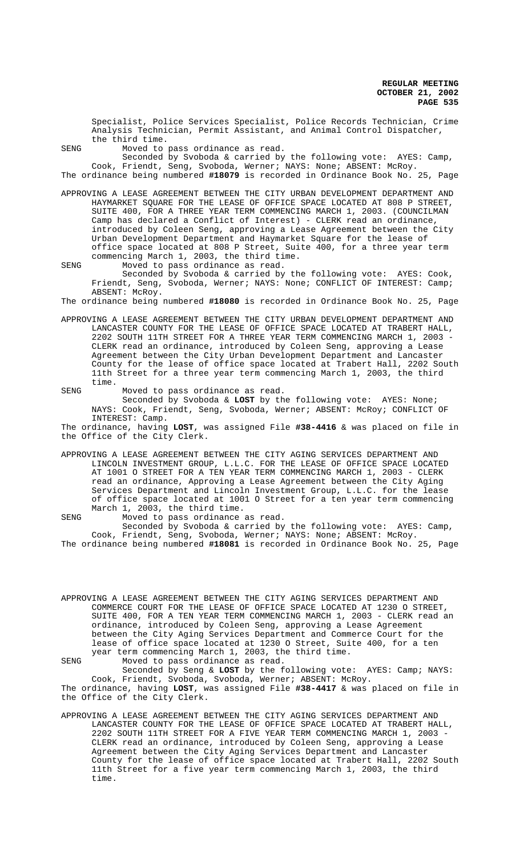Specialist, Police Services Specialist, Police Records Technician, Crime Analysis Technician, Permit Assistant, and Animal Control Dispatcher, the third time.

SENG Moved to pass ordinance as read.

Seconded by Svoboda & carried by the following vote: AYES: Camp, Cook, Friendt, Seng, Svoboda, Werner; NAYS: None; ABSENT: McRoy. The ordinance being numbered **#18079** is recorded in Ordinance Book No. 25, Page

APPROVING A LEASE AGREEMENT BETWEEN THE CITY URBAN DEVELOPMENT DEPARTMENT AND HAYMARKET SQUARE FOR THE LEASE OF OFFICE SPACE LOCATED AT 808 P STREET, SUITE 400, FOR A THREE YEAR TERM COMMENCING MARCH 1, 2003. (COUNCILMAN Camp has declared a Conflict of Interest) - CLERK read an ordinance, introduced by Coleen Seng, approving a Lease Agreement between the City Urban Development Department and Haymarket Square for the lease of office space located at 808 P Street, Suite 400, for a three year term commencing March 1, 2003, the third time.

SENG Moved to pass ordinance as read. Seconded by Svoboda & carried by the following vote: AYES: Cook, Friendt, Seng, Svoboda, Werner; NAYS: None; CONFLICT OF INTEREST: Camp; ABSENT: McRoy.

The ordinance being numbered **#18080** is recorded in Ordinance Book No. 25, Page

APPROVING A LEASE AGREEMENT BETWEEN THE CITY URBAN DEVELOPMENT DEPARTMENT AND LANCASTER COUNTY FOR THE LEASE OF OFFICE SPACE LOCATED AT TRABERT HALL, 2202 SOUTH 11TH STREET FOR A THREE YEAR TERM COMMENCING MARCH 1, 2003 - CLERK read an ordinance, introduced by Coleen Seng, approving a Lease Agreement between the City Urban Development Department and Lancaster County for the lease of office space located at Trabert Hall, 2202 South 11th Street for a three year term commencing March 1, 2003, the third time.

SENG Moved to pass ordinance as read. Seconded by Svoboda & **LOST** by the following vote: AYES: None; NAYS: Cook, Friendt, Seng, Svoboda, Werner; ABSENT: McRoy; CONFLICT OF INTEREST: Camp.

The ordinance, having **LOST**, was assigned File **#38-4416** & was placed on file in the Office of the City Clerk.

APPROVING A LEASE AGREEMENT BETWEEN THE CITY AGING SERVICES DEPARTMENT AND LINCOLN INVESTMENT GROUP, L.L.C. FOR THE LEASE OF OFFICE SPACE LOCATED AT 1001 O STREET FOR A TEN YEAR TERM COMMENCING MARCH 1, 2003 - CLERK read an ordinance, Approving a Lease Agreement between the City Aging Services Department and Lincoln Investment Group, L.L.C. for the lease of office space located at 1001 O Street for a ten year term commencing March 1, 2003, the third time.

SENG Moved to pass ordinance as read. Seconded by Svoboda & carried by the following vote: AYES: Camp, Cook, Friendt, Seng, Svoboda, Werner; NAYS: None; ABSENT: McRoy. The ordinance being numbered **#18081** is recorded in Ordinance Book No. 25, Page

APPROVING A LEASE AGREEMENT BETWEEN THE CITY AGING SERVICES DEPARTMENT AND COMMERCE COURT FOR THE LEASE OF OFFICE SPACE LOCATED AT 1230 O STREET, SUITE 400, FOR A TEN YEAR TERM COMMENCING MARCH 1, 2003 - CLERK read an ordinance, introduced by Coleen Seng, approving a Lease Agreement between the City Aging Services Department and Commerce Court for the lease of office space located at 1230 O Street, Suite 400, for a ten year term commencing March 1, 2003, the third time. SENG Moved to pass ordinance as read.

Seconded by Seng & **LOST** by the following vote: AYES: Camp; NAYS: Cook, Friendt, Svoboda, Svoboda, Werner; ABSENT: McRoy. The ordinance, having **LOST**, was assigned File **#38-4417** & was placed on file in the Office of the City Clerk.

APPROVING A LEASE AGREEMENT BETWEEN THE CITY AGING SERVICES DEPARTMENT AND LANCASTER COUNTY FOR THE LEASE OF OFFICE SPACE LOCATED AT TRABERT HALL, 2202 SOUTH 11TH STREET FOR A FIVE YEAR TERM COMMENCING MARCH 1, 2003 - CLERK read an ordinance, introduced by Coleen Seng, approving a Lease Agreement between the City Aging Services Department and Lancaster County for the lease of office space located at Trabert Hall, 2202 South 11th Street for a five year term commencing March 1, 2003, the third time.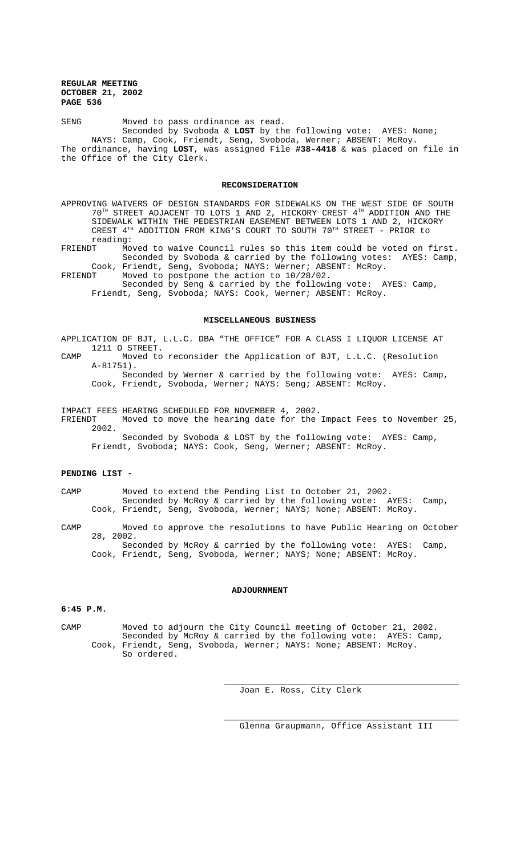SENG Moved to pass ordinance as read. Seconded by Svoboda & **LOST** by the following vote: AYES: None; NAYS: Camp, Cook, Friendt, Seng, Svoboda, Werner; ABSENT: McRoy. The ordinance, having **LOST**, was assigned File **#38-4418** & was placed on file in the Office of the City Clerk.

## **RECONSIDERATION**

APPROVING WAIVERS OF DESIGN STANDARDS FOR SIDEWALKS ON THE WEST SIDE OF SOUTH 70TH STREET ADJACENT TO LOTS 1 AND 2, HICKORY CREST 4TH ADDITION AND THE SIDEWALK WITHIN THE PEDESTRIAN EASEMENT BETWEEN LOTS 1 AND 2, HICKORY CREST 4TH ADDITION FROM KING'S COURT TO SOUTH 70TH STREET - PRIOR to reading:<br>FRIENDT Mo

Moved to waive Council rules so this item could be voted on first. Seconded by Svoboda & carried by the following votes: AYES: Camp, Cook, Friendt, Seng, Svoboda; NAYS: Werner; ABSENT: McRoy.

FRIENDT Moved to postpone the action to 10/28/02. Seconded by Seng & carried by the following vote: AYES: Camp, Friendt, Seng, Svoboda; NAYS: Cook, Werner; ABSENT: McRoy.

#### **MISCELLANEOUS BUSINESS**

APPLICATION OF BJT, L.L.C. DBA "THE OFFICE" FOR A CLASS I LIQUOR LICENSE AT 1211 O STREET.

CAMP Moved to reconsider the Application of BJT, L.L.C. (Resolution A-81751). Seconded by Werner & carried by the following vote: AYES: Camp,

Cook, Friendt, Svoboda, Werner; NAYS: Seng; ABSENT: McRoy.

IMPACT FEES HEARING SCHEDULED FOR NOVEMBER 4, 2002.

FRIENDT Moved to move the hearing date for the Impact Fees to November 25, 2002.

Seconded by Svoboda & LOST by the following vote: AYES: Camp, Friendt, Svoboda; NAYS: Cook, Seng, Werner; ABSENT: McRoy.

## **PENDING LIST -**

CAMP Moved to extend the Pending List to October 21, 2002. Seconded by McRoy & carried by the following vote: AYES: Camp, Cook, Friendt, Seng, Svoboda, Werner; NAYS; None; ABSENT: McRoy.

CAMP Moved to approve the resolutions to have Public Hearing on October 28, 2002. Seconded by McRoy & carried by the following vote: AYES: Camp,

Cook, Friendt, Seng, Svoboda, Werner; NAYS; None; ABSENT: McRoy.

# **ADJOURNMENT**

## **6:45 P.M.**

CAMP Moved to adjourn the City Council meeting of October 21, 2002. Seconded by McRoy & carried by the following vote: AYES: Camp, Cook, Friendt, Seng, Svoboda, Werner; NAYS: None; ABSENT: McRoy. So ordered.

 $\overline{a}$ 

Joan E. Ross, City Clerk

Glenna Graupmann, Office Assistant III

\_\_\_\_\_\_\_\_\_\_\_\_\_\_\_\_\_\_\_\_\_\_\_\_\_\_\_\_\_\_\_\_\_\_\_\_\_\_\_\_\_\_\_\_\_\_